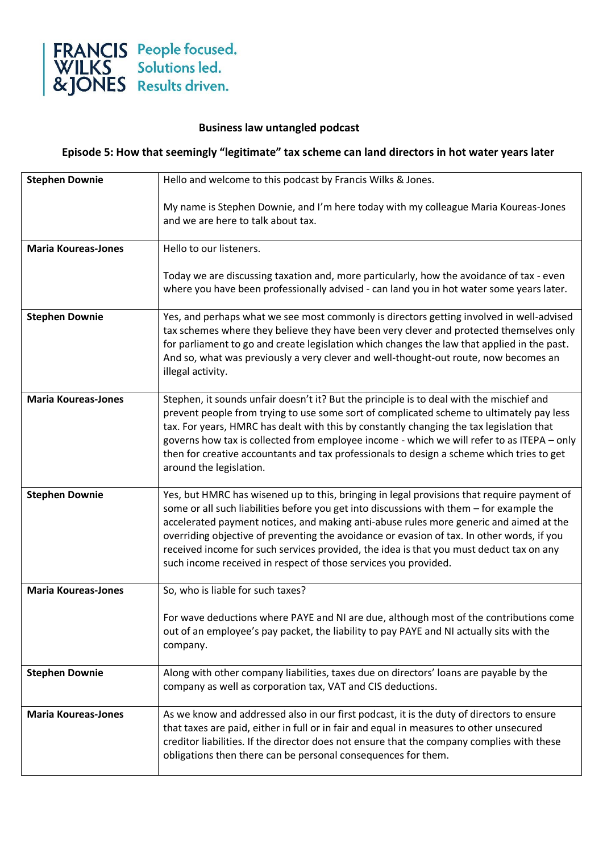

## **Business law untangled podcast**

## **Episode 5: How that seemingly "legitimate" tax scheme can land directors in hot water years later**

| <b>Stephen Downie</b>      | Hello and welcome to this podcast by Francis Wilks & Jones.                                                                                                                                                                                                                                                                                                                                                                                                                                                                                  |
|----------------------------|----------------------------------------------------------------------------------------------------------------------------------------------------------------------------------------------------------------------------------------------------------------------------------------------------------------------------------------------------------------------------------------------------------------------------------------------------------------------------------------------------------------------------------------------|
|                            | My name is Stephen Downie, and I'm here today with my colleague Maria Koureas-Jones<br>and we are here to talk about tax.                                                                                                                                                                                                                                                                                                                                                                                                                    |
| <b>Maria Koureas-Jones</b> | Hello to our listeners.                                                                                                                                                                                                                                                                                                                                                                                                                                                                                                                      |
|                            | Today we are discussing taxation and, more particularly, how the avoidance of tax - even<br>where you have been professionally advised - can land you in hot water some years later.                                                                                                                                                                                                                                                                                                                                                         |
| <b>Stephen Downie</b>      | Yes, and perhaps what we see most commonly is directors getting involved in well-advised<br>tax schemes where they believe they have been very clever and protected themselves only<br>for parliament to go and create legislation which changes the law that applied in the past.<br>And so, what was previously a very clever and well-thought-out route, now becomes an<br>illegal activity.                                                                                                                                              |
| <b>Maria Koureas-Jones</b> | Stephen, it sounds unfair doesn't it? But the principle is to deal with the mischief and<br>prevent people from trying to use some sort of complicated scheme to ultimately pay less<br>tax. For years, HMRC has dealt with this by constantly changing the tax legislation that<br>governs how tax is collected from employee income - which we will refer to as ITEPA - only<br>then for creative accountants and tax professionals to design a scheme which tries to get<br>around the legislation.                                       |
| <b>Stephen Downie</b>      | Yes, but HMRC has wisened up to this, bringing in legal provisions that require payment of<br>some or all such liabilities before you get into discussions with them - for example the<br>accelerated payment notices, and making anti-abuse rules more generic and aimed at the<br>overriding objective of preventing the avoidance or evasion of tax. In other words, if you<br>received income for such services provided, the idea is that you must deduct tax on any<br>such income received in respect of those services you provided. |
| <b>Maria Koureas-Jones</b> | So, who is liable for such taxes?                                                                                                                                                                                                                                                                                                                                                                                                                                                                                                            |
|                            | For wave deductions where PAYE and NI are due, although most of the contributions come<br>out of an employee's pay packet, the liability to pay PAYE and NI actually sits with the<br>company.                                                                                                                                                                                                                                                                                                                                               |
| <b>Stephen Downie</b>      | Along with other company liabilities, taxes due on directors' loans are payable by the<br>company as well as corporation tax, VAT and CIS deductions.                                                                                                                                                                                                                                                                                                                                                                                        |
| <b>Maria Koureas-Jones</b> | As we know and addressed also in our first podcast, it is the duty of directors to ensure<br>that taxes are paid, either in full or in fair and equal in measures to other unsecured<br>creditor liabilities. If the director does not ensure that the company complies with these<br>obligations then there can be personal consequences for them.                                                                                                                                                                                          |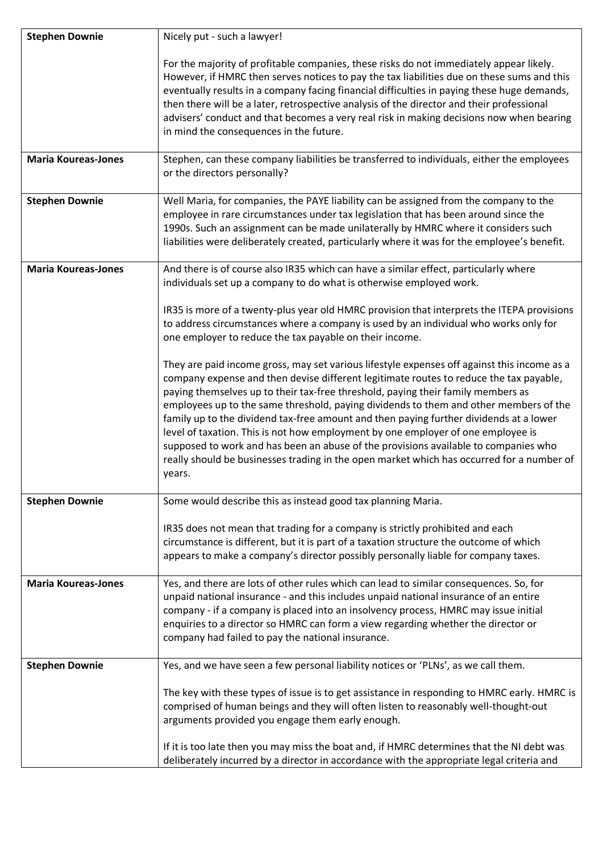| <b>Stephen Downie</b>      | Nicely put - such a lawyer!                                                                                                                                                                                                                                                                                                                                                                                                                                                                                                                                                                                                                                                                                                                    |
|----------------------------|------------------------------------------------------------------------------------------------------------------------------------------------------------------------------------------------------------------------------------------------------------------------------------------------------------------------------------------------------------------------------------------------------------------------------------------------------------------------------------------------------------------------------------------------------------------------------------------------------------------------------------------------------------------------------------------------------------------------------------------------|
|                            | For the majority of profitable companies, these risks do not immediately appear likely.<br>However, if HMRC then serves notices to pay the tax liabilities due on these sums and this<br>eventually results in a company facing financial difficulties in paying these huge demands,<br>then there will be a later, retrospective analysis of the director and their professional<br>advisers' conduct and that becomes a very real risk in making decisions now when bearing<br>in mind the consequences in the future.                                                                                                                                                                                                                       |
| <b>Maria Koureas-Jones</b> | Stephen, can these company liabilities be transferred to individuals, either the employees<br>or the directors personally?                                                                                                                                                                                                                                                                                                                                                                                                                                                                                                                                                                                                                     |
| <b>Stephen Downie</b>      | Well Maria, for companies, the PAYE liability can be assigned from the company to the<br>employee in rare circumstances under tax legislation that has been around since the<br>1990s. Such an assignment can be made unilaterally by HMRC where it considers such<br>liabilities were deliberately created, particularly where it was for the employee's benefit.                                                                                                                                                                                                                                                                                                                                                                             |
| <b>Maria Koureas-Jones</b> | And there is of course also IR35 which can have a similar effect, particularly where<br>individuals set up a company to do what is otherwise employed work.                                                                                                                                                                                                                                                                                                                                                                                                                                                                                                                                                                                    |
|                            | IR35 is more of a twenty-plus year old HMRC provision that interprets the ITEPA provisions<br>to address circumstances where a company is used by an individual who works only for<br>one employer to reduce the tax payable on their income.                                                                                                                                                                                                                                                                                                                                                                                                                                                                                                  |
|                            | They are paid income gross, may set various lifestyle expenses off against this income as a<br>company expense and then devise different legitimate routes to reduce the tax payable,<br>paying themselves up to their tax-free threshold, paying their family members as<br>employees up to the same threshold, paying dividends to them and other members of the<br>family up to the dividend tax-free amount and then paying further dividends at a lower<br>level of taxation. This is not how employment by one employer of one employee is<br>supposed to work and has been an abuse of the provisions available to companies who<br>really should be businesses trading in the open market which has occurred for a number of<br>years. |
| <b>Stephen Downie</b>      | Some would describe this as instead good tax planning Maria.                                                                                                                                                                                                                                                                                                                                                                                                                                                                                                                                                                                                                                                                                   |
|                            | IR35 does not mean that trading for a company is strictly prohibited and each<br>circumstance is different, but it is part of a taxation structure the outcome of which<br>appears to make a company's director possibly personally liable for company taxes.                                                                                                                                                                                                                                                                                                                                                                                                                                                                                  |
| <b>Maria Koureas-Jones</b> | Yes, and there are lots of other rules which can lead to similar consequences. So, for<br>unpaid national insurance - and this includes unpaid national insurance of an entire<br>company - if a company is placed into an insolvency process, HMRC may issue initial<br>enquiries to a director so HMRC can form a view regarding whether the director or<br>company had failed to pay the national insurance.                                                                                                                                                                                                                                                                                                                                |
| <b>Stephen Downie</b>      | Yes, and we have seen a few personal liability notices or 'PLNs', as we call them.                                                                                                                                                                                                                                                                                                                                                                                                                                                                                                                                                                                                                                                             |
|                            | The key with these types of issue is to get assistance in responding to HMRC early. HMRC is<br>comprised of human beings and they will often listen to reasonably well-thought-out<br>arguments provided you engage them early enough.                                                                                                                                                                                                                                                                                                                                                                                                                                                                                                         |
|                            | If it is too late then you may miss the boat and, if HMRC determines that the NI debt was<br>deliberately incurred by a director in accordance with the appropriate legal criteria and                                                                                                                                                                                                                                                                                                                                                                                                                                                                                                                                                         |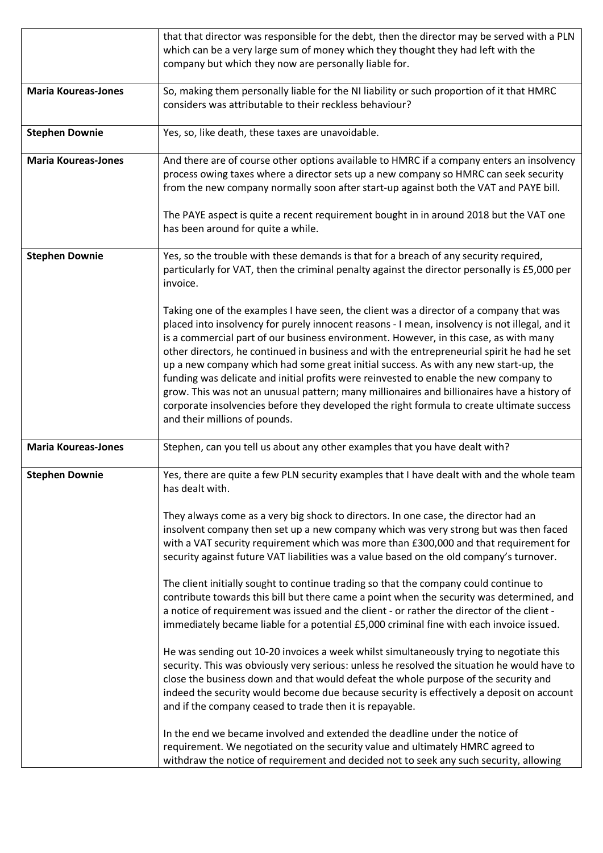|                            | that that director was responsible for the debt, then the director may be served with a PLN    |
|----------------------------|------------------------------------------------------------------------------------------------|
|                            | which can be a very large sum of money which they thought they had left with the               |
|                            | company but which they now are personally liable for.                                          |
|                            |                                                                                                |
| <b>Maria Koureas-Jones</b> | So, making them personally liable for the NI liability or such proportion of it that HMRC      |
|                            | considers was attributable to their reckless behaviour?                                        |
|                            |                                                                                                |
| <b>Stephen Downie</b>      | Yes, so, like death, these taxes are unavoidable.                                              |
|                            |                                                                                                |
| <b>Maria Koureas-Jones</b> | And there are of course other options available to HMRC if a company enters an insolvency      |
|                            | process owing taxes where a director sets up a new company so HMRC can seek security           |
|                            | from the new company normally soon after start-up against both the VAT and PAYE bill.          |
|                            | The PAYE aspect is quite a recent requirement bought in in around 2018 but the VAT one         |
|                            | has been around for quite a while.                                                             |
|                            |                                                                                                |
| <b>Stephen Downie</b>      | Yes, so the trouble with these demands is that for a breach of any security required,          |
|                            | particularly for VAT, then the criminal penalty against the director personally is £5,000 per  |
|                            | invoice.                                                                                       |
|                            |                                                                                                |
|                            | Taking one of the examples I have seen, the client was a director of a company that was        |
|                            | placed into insolvency for purely innocent reasons - I mean, insolvency is not illegal, and it |
|                            | is a commercial part of our business environment. However, in this case, as with many          |
|                            | other directors, he continued in business and with the entrepreneurial spirit he had he set    |
|                            | up a new company which had some great initial success. As with any new start-up, the           |
|                            | funding was delicate and initial profits were reinvested to enable the new company to          |
|                            | grow. This was not an unusual pattern; many millionaires and billionaires have a history of    |
|                            | corporate insolvencies before they developed the right formula to create ultimate success      |
|                            | and their millions of pounds.                                                                  |
| <b>Maria Koureas-Jones</b> | Stephen, can you tell us about any other examples that you have dealt with?                    |
|                            |                                                                                                |
| <b>Stephen Downie</b>      | Yes, there are quite a few PLN security examples that I have dealt with and the whole team     |
|                            | has dealt with.                                                                                |
|                            |                                                                                                |
|                            | They always come as a very big shock to directors. In one case, the director had an            |
|                            | insolvent company then set up a new company which was very strong but was then faced           |
|                            | with a VAT security requirement which was more than £300,000 and that requirement for          |
|                            | security against future VAT liabilities was a value based on the old company's turnover.       |
|                            |                                                                                                |
|                            | The client initially sought to continue trading so that the company could continue to          |
|                            | contribute towards this bill but there came a point when the security was determined, and      |
|                            | a notice of requirement was issued and the client - or rather the director of the client -     |
|                            | immediately became liable for a potential £5,000 criminal fine with each invoice issued.       |
|                            | He was sending out 10-20 invoices a week whilst simultaneously trying to negotiate this        |
|                            | security. This was obviously very serious: unless he resolved the situation he would have to   |
|                            | close the business down and that would defeat the whole purpose of the security and            |
|                            | indeed the security would become due because security is effectively a deposit on account      |
|                            | and if the company ceased to trade then it is repayable.                                       |
|                            |                                                                                                |
|                            | In the end we became involved and extended the deadline under the notice of                    |
|                            | requirement. We negotiated on the security value and ultimately HMRC agreed to                 |
|                            | withdraw the notice of requirement and decided not to seek any such security, allowing         |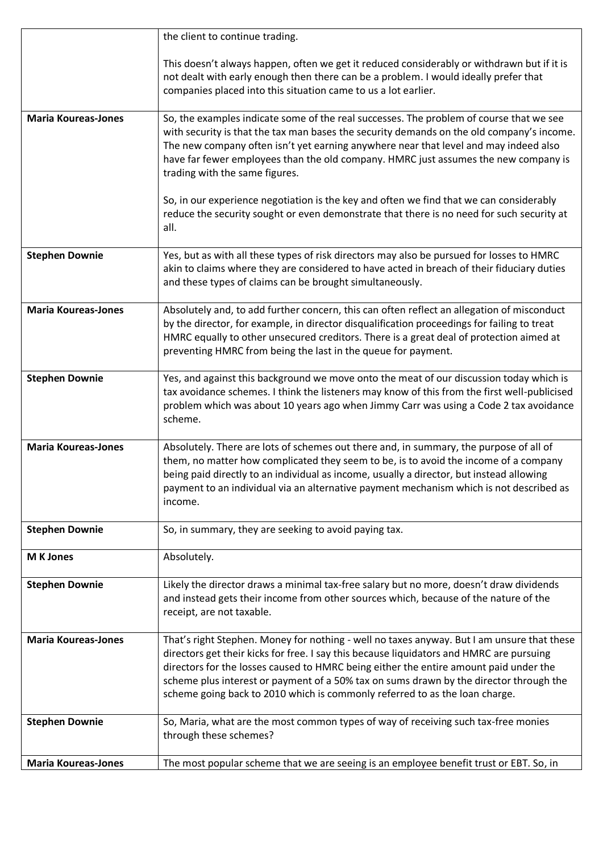|                            | the client to continue trading.                                                                                                                                                                                                                                                                                                                                                                                                                                                                  |
|----------------------------|--------------------------------------------------------------------------------------------------------------------------------------------------------------------------------------------------------------------------------------------------------------------------------------------------------------------------------------------------------------------------------------------------------------------------------------------------------------------------------------------------|
|                            | This doesn't always happen, often we get it reduced considerably or withdrawn but if it is<br>not dealt with early enough then there can be a problem. I would ideally prefer that<br>companies placed into this situation came to us a lot earlier.                                                                                                                                                                                                                                             |
| <b>Maria Koureas-Jones</b> | So, the examples indicate some of the real successes. The problem of course that we see<br>with security is that the tax man bases the security demands on the old company's income.<br>The new company often isn't yet earning anywhere near that level and may indeed also<br>have far fewer employees than the old company. HMRC just assumes the new company is<br>trading with the same figures.<br>So, in our experience negotiation is the key and often we find that we can considerably |
|                            | reduce the security sought or even demonstrate that there is no need for such security at<br>all.                                                                                                                                                                                                                                                                                                                                                                                                |
| <b>Stephen Downie</b>      | Yes, but as with all these types of risk directors may also be pursued for losses to HMRC<br>akin to claims where they are considered to have acted in breach of their fiduciary duties<br>and these types of claims can be brought simultaneously.                                                                                                                                                                                                                                              |
| <b>Maria Koureas-Jones</b> | Absolutely and, to add further concern, this can often reflect an allegation of misconduct<br>by the director, for example, in director disqualification proceedings for failing to treat<br>HMRC equally to other unsecured creditors. There is a great deal of protection aimed at<br>preventing HMRC from being the last in the queue for payment.                                                                                                                                            |
| <b>Stephen Downie</b>      | Yes, and against this background we move onto the meat of our discussion today which is<br>tax avoidance schemes. I think the listeners may know of this from the first well-publicised<br>problem which was about 10 years ago when Jimmy Carr was using a Code 2 tax avoidance<br>scheme.                                                                                                                                                                                                      |
| <b>Maria Koureas-Jones</b> | Absolutely. There are lots of schemes out there and, in summary, the purpose of all of<br>them, no matter how complicated they seem to be, is to avoid the income of a company<br>being paid directly to an individual as income, usually a director, but instead allowing<br>payment to an individual via an alternative payment mechanism which is not described as<br>income.                                                                                                                 |
| <b>Stephen Downie</b>      | So, in summary, they are seeking to avoid paying tax.                                                                                                                                                                                                                                                                                                                                                                                                                                            |
| <b>M</b> K Jones           | Absolutely.                                                                                                                                                                                                                                                                                                                                                                                                                                                                                      |
| <b>Stephen Downie</b>      | Likely the director draws a minimal tax-free salary but no more, doesn't draw dividends<br>and instead gets their income from other sources which, because of the nature of the<br>receipt, are not taxable.                                                                                                                                                                                                                                                                                     |
| <b>Maria Koureas-Jones</b> | That's right Stephen. Money for nothing - well no taxes anyway. But I am unsure that these<br>directors get their kicks for free. I say this because liquidators and HMRC are pursuing<br>directors for the losses caused to HMRC being either the entire amount paid under the<br>scheme plus interest or payment of a 50% tax on sums drawn by the director through the<br>scheme going back to 2010 which is commonly referred to as the loan charge.                                         |
| <b>Stephen Downie</b>      | So, Maria, what are the most common types of way of receiving such tax-free monies<br>through these schemes?                                                                                                                                                                                                                                                                                                                                                                                     |
| <b>Maria Koureas-Jones</b> | The most popular scheme that we are seeing is an employee benefit trust or EBT. So, in                                                                                                                                                                                                                                                                                                                                                                                                           |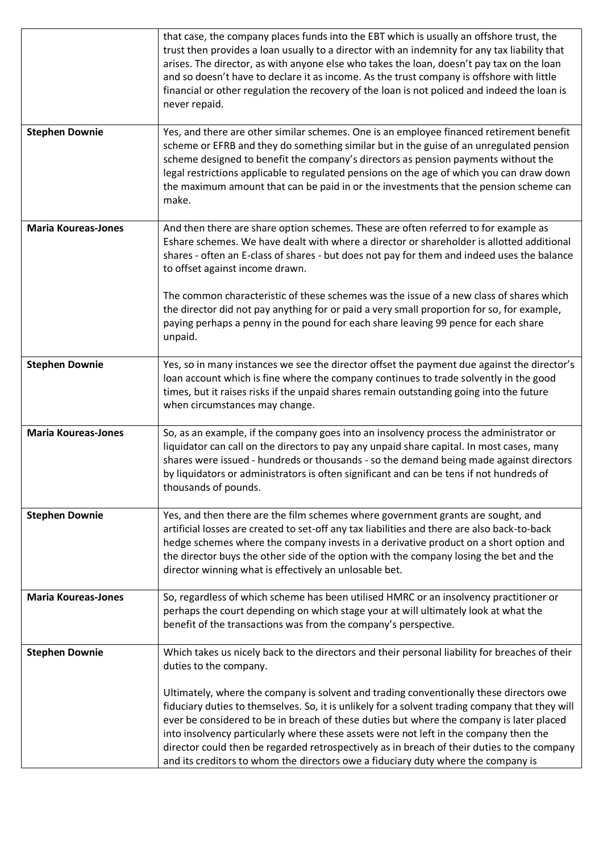|                            | that case, the company places funds into the EBT which is usually an offshore trust, the<br>trust then provides a loan usually to a director with an indemnity for any tax liability that<br>arises. The director, as with anyone else who takes the loan, doesn't pay tax on the loan<br>and so doesn't have to declare it as income. As the trust company is offshore with little<br>financial or other regulation the recovery of the loan is not policed and indeed the loan is<br>never repaid. |
|----------------------------|------------------------------------------------------------------------------------------------------------------------------------------------------------------------------------------------------------------------------------------------------------------------------------------------------------------------------------------------------------------------------------------------------------------------------------------------------------------------------------------------------|
| <b>Stephen Downie</b>      | Yes, and there are other similar schemes. One is an employee financed retirement benefit<br>scheme or EFRB and they do something similar but in the guise of an unregulated pension<br>scheme designed to benefit the company's directors as pension payments without the<br>legal restrictions applicable to regulated pensions on the age of which you can draw down<br>the maximum amount that can be paid in or the investments that the pension scheme can<br>make.                             |
| <b>Maria Koureas-Jones</b> | And then there are share option schemes. These are often referred to for example as<br>Eshare schemes. We have dealt with where a director or shareholder is allotted additional<br>shares - often an E-class of shares - but does not pay for them and indeed uses the balance<br>to offset against income drawn.                                                                                                                                                                                   |
|                            | The common characteristic of these schemes was the issue of a new class of shares which<br>the director did not pay anything for or paid a very small proportion for so, for example,<br>paying perhaps a penny in the pound for each share leaving 99 pence for each share<br>unpaid.                                                                                                                                                                                                               |
| <b>Stephen Downie</b>      | Yes, so in many instances we see the director offset the payment due against the director's<br>loan account which is fine where the company continues to trade solvently in the good<br>times, but it raises risks if the unpaid shares remain outstanding going into the future<br>when circumstances may change.                                                                                                                                                                                   |
| <b>Maria Koureas-Jones</b> | So, as an example, if the company goes into an insolvency process the administrator or<br>liquidator can call on the directors to pay any unpaid share capital. In most cases, many<br>shares were issued - hundreds or thousands - so the demand being made against directors<br>by liquidators or administrators is often significant and can be tens if not hundreds of<br>thousands of pounds.                                                                                                   |
| <b>Stephen Downie</b>      | Yes, and then there are the film schemes where government grants are sought, and<br>artificial losses are created to set-off any tax liabilities and there are also back-to-back<br>hedge schemes where the company invests in a derivative product on a short option and<br>the director buys the other side of the option with the company losing the bet and the<br>director winning what is effectively an unlosable bet.                                                                        |
| <b>Maria Koureas-Jones</b> | So, regardless of which scheme has been utilised HMRC or an insolvency practitioner or<br>perhaps the court depending on which stage your at will ultimately look at what the<br>benefit of the transactions was from the company's perspective.                                                                                                                                                                                                                                                     |
| <b>Stephen Downie</b>      | Which takes us nicely back to the directors and their personal liability for breaches of their<br>duties to the company.<br>Ultimately, where the company is solvent and trading conventionally these directors owe<br>fiduciary duties to themselves. So, it is unlikely for a solvent trading company that they will<br>ever be considered to be in breach of these duties but where the company is later placed                                                                                   |
|                            | into insolvency particularly where these assets were not left in the company then the<br>director could then be regarded retrospectively as in breach of their duties to the company<br>and its creditors to whom the directors owe a fiduciary duty where the company is                                                                                                                                                                                                                            |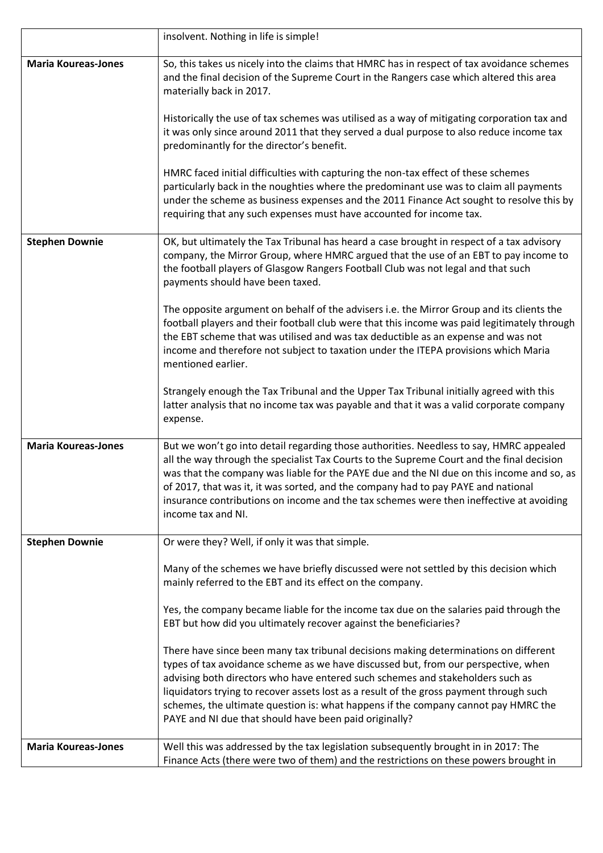|                            | insolvent. Nothing in life is simple!                                                                                                                                                                                                                                                                                                                                                                                                                                                                   |
|----------------------------|---------------------------------------------------------------------------------------------------------------------------------------------------------------------------------------------------------------------------------------------------------------------------------------------------------------------------------------------------------------------------------------------------------------------------------------------------------------------------------------------------------|
| <b>Maria Koureas-Jones</b> | So, this takes us nicely into the claims that HMRC has in respect of tax avoidance schemes<br>and the final decision of the Supreme Court in the Rangers case which altered this area<br>materially back in 2017.                                                                                                                                                                                                                                                                                       |
|                            | Historically the use of tax schemes was utilised as a way of mitigating corporation tax and<br>it was only since around 2011 that they served a dual purpose to also reduce income tax<br>predominantly for the director's benefit.                                                                                                                                                                                                                                                                     |
|                            | HMRC faced initial difficulties with capturing the non-tax effect of these schemes<br>particularly back in the noughties where the predominant use was to claim all payments<br>under the scheme as business expenses and the 2011 Finance Act sought to resolve this by<br>requiring that any such expenses must have accounted for income tax.                                                                                                                                                        |
| <b>Stephen Downie</b>      | OK, but ultimately the Tax Tribunal has heard a case brought in respect of a tax advisory<br>company, the Mirror Group, where HMRC argued that the use of an EBT to pay income to<br>the football players of Glasgow Rangers Football Club was not legal and that such<br>payments should have been taxed.                                                                                                                                                                                              |
|                            | The opposite argument on behalf of the advisers i.e. the Mirror Group and its clients the<br>football players and their football club were that this income was paid legitimately through<br>the EBT scheme that was utilised and was tax deductible as an expense and was not<br>income and therefore not subject to taxation under the ITEPA provisions which Maria<br>mentioned earlier.                                                                                                             |
|                            | Strangely enough the Tax Tribunal and the Upper Tax Tribunal initially agreed with this<br>latter analysis that no income tax was payable and that it was a valid corporate company<br>expense.                                                                                                                                                                                                                                                                                                         |
| <b>Maria Koureas-Jones</b> | But we won't go into detail regarding those authorities. Needless to say, HMRC appealed<br>all the way through the specialist Tax Courts to the Supreme Court and the final decision<br>was that the company was liable for the PAYE due and the NI due on this income and so, as<br>of 2017, that was it, it was sorted, and the company had to pay PAYE and national<br>insurance contributions on income and the tax schemes were then ineffective at avoiding<br>income tax and NI.                 |
| <b>Stephen Downie</b>      | Or were they? Well, if only it was that simple.                                                                                                                                                                                                                                                                                                                                                                                                                                                         |
|                            | Many of the schemes we have briefly discussed were not settled by this decision which<br>mainly referred to the EBT and its effect on the company.                                                                                                                                                                                                                                                                                                                                                      |
|                            | Yes, the company became liable for the income tax due on the salaries paid through the<br>EBT but how did you ultimately recover against the beneficiaries?                                                                                                                                                                                                                                                                                                                                             |
|                            | There have since been many tax tribunal decisions making determinations on different<br>types of tax avoidance scheme as we have discussed but, from our perspective, when<br>advising both directors who have entered such schemes and stakeholders such as<br>liquidators trying to recover assets lost as a result of the gross payment through such<br>schemes, the ultimate question is: what happens if the company cannot pay HMRC the<br>PAYE and NI due that should have been paid originally? |
| <b>Maria Koureas-Jones</b> | Well this was addressed by the tax legislation subsequently brought in in 2017: The<br>Finance Acts (there were two of them) and the restrictions on these powers brought in                                                                                                                                                                                                                                                                                                                            |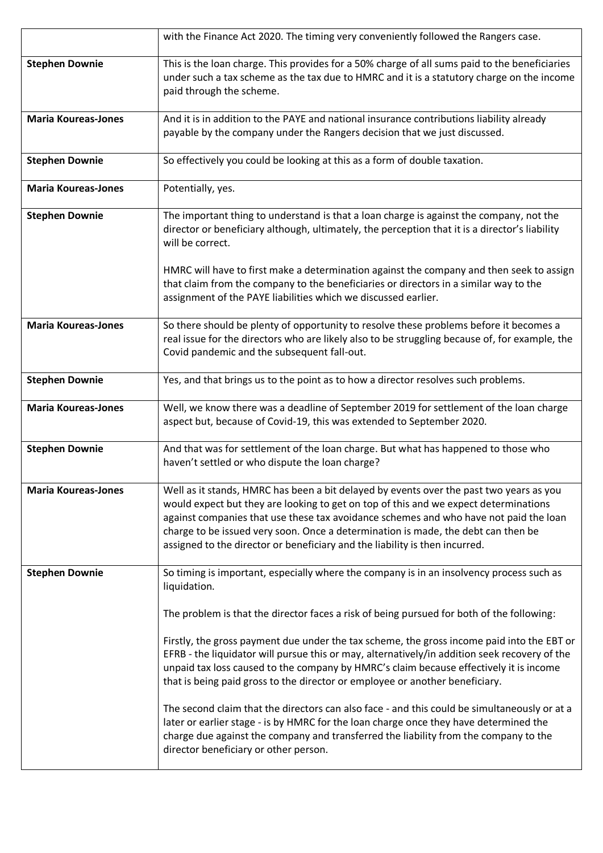|                            | with the Finance Act 2020. The timing very conveniently followed the Rangers case.                                                                                                                                                                                                                                                                                                                                                           |
|----------------------------|----------------------------------------------------------------------------------------------------------------------------------------------------------------------------------------------------------------------------------------------------------------------------------------------------------------------------------------------------------------------------------------------------------------------------------------------|
| <b>Stephen Downie</b>      | This is the loan charge. This provides for a 50% charge of all sums paid to the beneficiaries<br>under such a tax scheme as the tax due to HMRC and it is a statutory charge on the income<br>paid through the scheme.                                                                                                                                                                                                                       |
| <b>Maria Koureas-Jones</b> | And it is in addition to the PAYE and national insurance contributions liability already<br>payable by the company under the Rangers decision that we just discussed.                                                                                                                                                                                                                                                                        |
| <b>Stephen Downie</b>      | So effectively you could be looking at this as a form of double taxation.                                                                                                                                                                                                                                                                                                                                                                    |
| <b>Maria Koureas-Jones</b> | Potentially, yes.                                                                                                                                                                                                                                                                                                                                                                                                                            |
| <b>Stephen Downie</b>      | The important thing to understand is that a loan charge is against the company, not the<br>director or beneficiary although, ultimately, the perception that it is a director's liability<br>will be correct.                                                                                                                                                                                                                                |
|                            | HMRC will have to first make a determination against the company and then seek to assign<br>that claim from the company to the beneficiaries or directors in a similar way to the<br>assignment of the PAYE liabilities which we discussed earlier.                                                                                                                                                                                          |
| <b>Maria Koureas-Jones</b> | So there should be plenty of opportunity to resolve these problems before it becomes a<br>real issue for the directors who are likely also to be struggling because of, for example, the<br>Covid pandemic and the subsequent fall-out.                                                                                                                                                                                                      |
| <b>Stephen Downie</b>      | Yes, and that brings us to the point as to how a director resolves such problems.                                                                                                                                                                                                                                                                                                                                                            |
| <b>Maria Koureas-Jones</b> | Well, we know there was a deadline of September 2019 for settlement of the loan charge<br>aspect but, because of Covid-19, this was extended to September 2020.                                                                                                                                                                                                                                                                              |
| <b>Stephen Downie</b>      | And that was for settlement of the loan charge. But what has happened to those who<br>haven't settled or who dispute the loan charge?                                                                                                                                                                                                                                                                                                        |
| <b>Maria Koureas-Jones</b> | Well as it stands, HMRC has been a bit delayed by events over the past two years as you<br>would expect but they are looking to get on top of this and we expect determinations<br>against companies that use these tax avoidance schemes and who have not paid the loan<br>charge to be issued very soon. Once a determination is made, the debt can then be<br>assigned to the director or beneficiary and the liability is then incurred. |
| <b>Stephen Downie</b>      | So timing is important, especially where the company is in an insolvency process such as<br>liquidation.                                                                                                                                                                                                                                                                                                                                     |
|                            | The problem is that the director faces a risk of being pursued for both of the following:                                                                                                                                                                                                                                                                                                                                                    |
|                            | Firstly, the gross payment due under the tax scheme, the gross income paid into the EBT or<br>EFRB - the liquidator will pursue this or may, alternatively/in addition seek recovery of the<br>unpaid tax loss caused to the company by HMRC's claim because effectively it is income<br>that is being paid gross to the director or employee or another beneficiary.                                                                        |
|                            | The second claim that the directors can also face - and this could be simultaneously or at a<br>later or earlier stage - is by HMRC for the loan charge once they have determined the<br>charge due against the company and transferred the liability from the company to the<br>director beneficiary or other person.                                                                                                                       |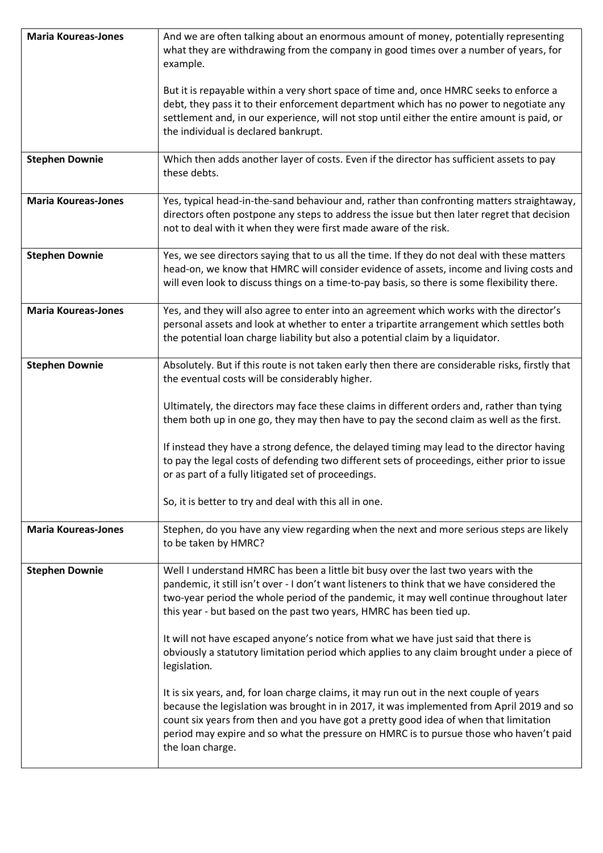| <b>Maria Koureas-Jones</b> | And we are often talking about an enormous amount of money, potentially representing<br>what they are withdrawing from the company in good times over a number of years, for<br>example.                                                                                                                                                                                                               |
|----------------------------|--------------------------------------------------------------------------------------------------------------------------------------------------------------------------------------------------------------------------------------------------------------------------------------------------------------------------------------------------------------------------------------------------------|
|                            | But it is repayable within a very short space of time and, once HMRC seeks to enforce a<br>debt, they pass it to their enforcement department which has no power to negotiate any<br>settlement and, in our experience, will not stop until either the entire amount is paid, or<br>the individual is declared bankrupt.                                                                               |
| <b>Stephen Downie</b>      | Which then adds another layer of costs. Even if the director has sufficient assets to pay<br>these debts.                                                                                                                                                                                                                                                                                              |
| <b>Maria Koureas-Jones</b> | Yes, typical head-in-the-sand behaviour and, rather than confronting matters straightaway,<br>directors often postpone any steps to address the issue but then later regret that decision<br>not to deal with it when they were first made aware of the risk.                                                                                                                                          |
| <b>Stephen Downie</b>      | Yes, we see directors saying that to us all the time. If they do not deal with these matters<br>head-on, we know that HMRC will consider evidence of assets, income and living costs and<br>will even look to discuss things on a time-to-pay basis, so there is some flexibility there.                                                                                                               |
| <b>Maria Koureas-Jones</b> | Yes, and they will also agree to enter into an agreement which works with the director's<br>personal assets and look at whether to enter a tripartite arrangement which settles both<br>the potential loan charge liability but also a potential claim by a liquidator.                                                                                                                                |
| <b>Stephen Downie</b>      | Absolutely. But if this route is not taken early then there are considerable risks, firstly that<br>the eventual costs will be considerably higher.<br>Ultimately, the directors may face these claims in different orders and, rather than tying                                                                                                                                                      |
|                            | them both up in one go, they may then have to pay the second claim as well as the first.<br>If instead they have a strong defence, the delayed timing may lead to the director having<br>to pay the legal costs of defending two different sets of proceedings, either prior to issue<br>or as part of a fully litigated set of proceedings.<br>So, it is better to try and deal with this all in one. |
| <b>Maria Koureas-Jones</b> | Stephen, do you have any view regarding when the next and more serious steps are likely<br>to be taken by HMRC?                                                                                                                                                                                                                                                                                        |
| <b>Stephen Downie</b>      | Well I understand HMRC has been a little bit busy over the last two years with the<br>pandemic, it still isn't over - I don't want listeners to think that we have considered the<br>two-year period the whole period of the pandemic, it may well continue throughout later<br>this year - but based on the past two years, HMRC has been tied up.                                                    |
|                            | It will not have escaped anyone's notice from what we have just said that there is<br>obviously a statutory limitation period which applies to any claim brought under a piece of<br>legislation.                                                                                                                                                                                                      |
|                            | It is six years, and, for loan charge claims, it may run out in the next couple of years<br>because the legislation was brought in in 2017, it was implemented from April 2019 and so<br>count six years from then and you have got a pretty good idea of when that limitation<br>period may expire and so what the pressure on HMRC is to pursue those who haven't paid<br>the loan charge.           |